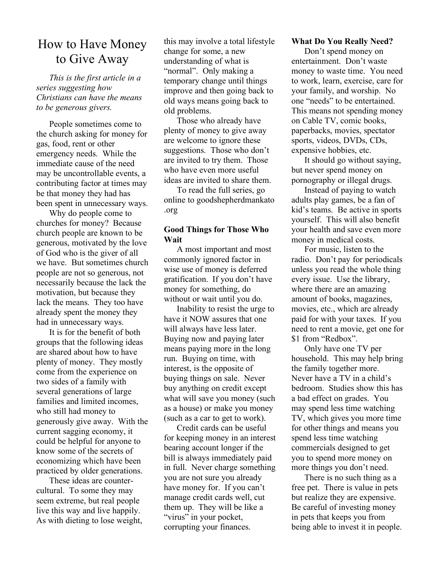# How to Have Money to Give Away

*This is the first article in a series suggesting how Christians can have the means to be generous givers.*

People sometimes come to the church asking for money for gas, food, rent or other emergency needs. While the immediate cause of the need may be uncontrollable events, a contributing factor at times may be that money they had has been spent in unnecessary ways.

Why do people come to churches for money? Because church people are known to be generous, motivated by the love of God who is the giver of all we have. But sometimes church people are not so generous, not necessarily because the lack the motivation, but because they lack the means. They too have already spent the money they had in unnecessary ways.

It is for the benefit of both groups that the following ideas are shared about how to have plenty of money. They mostly come from the experience on two sides of a family with several generations of large families and limited incomes, who still had money to generously give away. With the current sagging economy, it could be helpful for anyone to know some of the secrets of economizing which have been practiced by older generations.

These ideas are countercultural. To some they may seem extreme, but real people live this way and live happily. As with dieting to lose weight, this may involve a total lifestyle change for some, a new understanding of what is "normal". Only making a temporary change until things improve and then going back to old ways means going back to old problems.

Those who already have plenty of money to give away are welcome to ignore these suggestions. Those who don't are invited to try them. Those who have even more useful ideas are invited to share them.

To read the full series, go online to goodshepherdmankato .org

# **Good Things for Those Who Wait**

A most important and most commonly ignored factor in wise use of money is deferred gratification. If you don't have money for something, do without or wait until you do.

Inability to resist the urge to have it NOW assures that one will always have less later. Buying now and paying later means paying more in the long run. Buying on time, with interest, is the opposite of buying things on sale. Never buy anything on credit except what will save you money (such as a house) or make you money (such as a car to get to work).

Credit cards can be useful for keeping money in an interest bearing account longer if the bill is always immediately paid in full. Never charge something you are not sure you already have money for. If you can't manage credit cards well, cut them up. They will be like a "virus" in your pocket, corrupting your finances.

## **What Do You Really Need?**

Don't spend money on entertainment. Don't waste money to waste time. You need to work, learn, exercise, care for your family, and worship. No one "needs" to be entertained. This means not spending money on Cable TV, comic books, paperbacks, movies, spectator sports, videos, DVDs, CDs, expensive hobbies, etc.

It should go without saying, but never spend money on pornography or illegal drugs.

Instead of paying to watch adults play games, be a fan of kid's teams. Be active in sports yourself. This will also benefit your health and save even more money in medical costs.

For music, listen to the radio. Don't pay for periodicals unless you read the whole thing every issue. Use the library, where there are an amazing amount of books, magazines, movies, etc., which are already paid for with your taxes. If you need to rent a movie, get one for \$1 from "Redbox".

Only have one TV per household. This may help bring the family together more. Never have a TV in a child's bedroom. Studies show this has a bad effect on grades. You may spend less time watching TV, which gives you more time for other things and means you spend less time watching commercials designed to get you to spend more money on more things you don't need.

There is no such thing as a free pet. There is value in pets but realize they are expensive. Be careful of investing money in pets that keeps you from being able to invest it in people.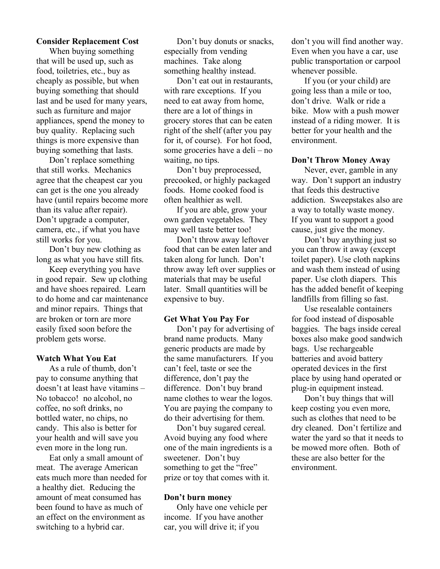#### **Consider Replacement Cost**

When buying something that will be used up, such as food, toiletries, etc., buy as cheaply as possible, but when buying something that should last and be used for many years, such as furniture and major appliances, spend the money to buy quality. Replacing such things is more expensive than buying something that lasts.

Don't replace something that still works. Mechanics agree that the cheapest car you can get is the one you already have (until repairs become more than its value after repair). Don't upgrade a computer, camera, etc., if what you have still works for you.

Don't buy new clothing as long as what you have still fits.

Keep everything you have in good repair. Sew up clothing and have shoes repaired. Learn to do home and car maintenance and minor repairs. Things that are broken or torn are more easily fixed soon before the problem gets worse.

#### **Watch What You Eat**

As a rule of thumb, don't pay to consume anything that doesn't at least have vitamins – No tobacco! no alcohol, no coffee, no soft drinks, no bottled water, no chips, no candy. This also is better for your health and will save you even more in the long run.

Eat only a small amount of meat. The average American eats much more than needed for a healthy diet. Reducing the amount of meat consumed has been found to have as much of an effect on the environment as switching to a hybrid car.

Don't buy donuts or snacks, especially from vending machines. Take along something healthy instead.

Don't eat out in restaurants, with rare exceptions. If you need to eat away from home, there are a lot of things in grocery stores that can be eaten right of the shelf (after you pay for it, of course). For hot food, some groceries have a deli – no waiting, no tips.

Don't buy preprocessed, precooked, or highly packaged foods. Home cooked food is often healthier as well.

If you are able, grow your own garden vegetables. They may well taste better too!

Don't throw away leftover food that can be eaten later and taken along for lunch. Don't throw away left over supplies or materials that may be useful later. Small quantities will be expensive to buy.

#### **Get What You Pay For**

Don't pay for advertising of brand name products. Many generic products are made by the same manufacturers. If you can't feel, taste or see the difference, don't pay the difference. Don't buy brand name clothes to wear the logos. You are paying the company to do their advertising for them.

Don't buy sugared cereal. Avoid buying any food where one of the main ingredients is a sweetener. Don't buy something to get the "free" prize or toy that comes with it.

## **Don't burn money**

Only have one vehicle per income. If you have another car, you will drive it; if you

don't you will find another way. Even when you have a car, use public transportation or carpool whenever possible.

If you (or your child) are going less than a mile or too, don't drive. Walk or ride a bike. Mow with a push mower instead of a riding mower. It is better for your health and the environment.

#### **Don't Throw Money Away**

Never, ever, gamble in any way. Don't support an industry that feeds this destructive addiction. Sweepstakes also are a way to totally waste money. If you want to support a good cause, just give the money.

Don't buy anything just so you can throw it away (except toilet paper). Use cloth napkins and wash them instead of using paper. Use cloth diapers. This has the added benefit of keeping landfills from filling so fast.

Use resealable containers for food instead of disposable baggies. The bags inside cereal boxes also make good sandwich bags. Use rechargeable batteries and avoid battery operated devices in the first place by using hand operated or plug-in equipment instead.

Don't buy things that will keep costing you even more, such as clothes that need to be dry cleaned. Don't fertilize and water the yard so that it needs to be mowed more often. Both of these are also better for the environment.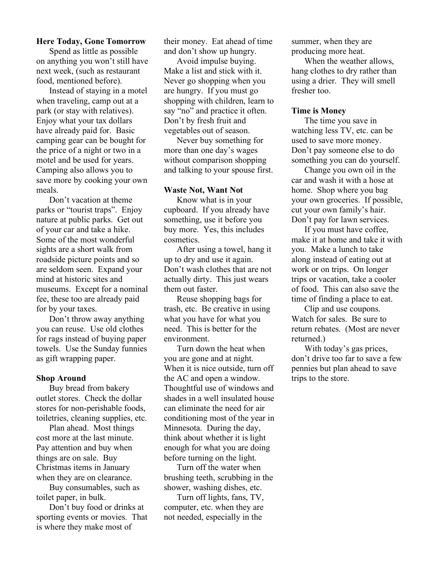## **Here Today, Gone Tomorrow**

Spend as little as possible on anything you won't still have next week, (such as restaurant food, mentioned before).

Instead of staying in a motel when traveling, camp out at a park (or stay with relatives). Enjoy what your tax dollars have already paid for. Basic camping gear can be bought for the price of a night or two in a motel and be used for years. Camping also allows you to save more by cooking your own meals.

Don't vacation at theme parks or "tourist traps". Enjoy nature at public parks. Get out of your car and take a hike. Some of the most wonderful sights are a short walk from roadside picture points and so are seldom seen. Expand your mind at historic sites and museums. Except for a nominal fee, these too are already paid for by your taxes.

Don't throw away anything you can reuse. Use old clothes for rags instead of buying paper towels. Use the Sunday funnies as gift wrapping paper.

## **Shop Around**

Buy bread from bakery outlet stores. Check the dollar stores for non-perishable foods, toiletries, cleaning supplies, etc.

Plan ahead. Most things cost more at the last minute. Pay attention and buy when things are on sale. Buy Christmas items in January when they are on clearance.

Buy consumables, such as toilet paper, in bulk.

Don't buy food or drinks at sporting events or movies. That is where they make most of

their money. Eat ahead of time and don't show up hungry.

Avoid impulse buying. Make a list and stick with it. Never go shopping when you are hungry. If you must go shopping with children, learn to say "no" and practice it often. Don't by fresh fruit and vegetables out of season.

Never buy something for more than one day's wages without comparison shopping and talking to your spouse first.

## **Waste Not, Want Not**

Know what is in your cupboard. If you already have something, use it before you buy more. Yes, this includes cosmetics.

After using a towel, hang it up to dry and use it again. Don't wash clothes that are not actually dirty. This just wears them out faster.

Reuse shopping bags for trash, etc. Be creative in using what you have for what you need. This is better for the environment.

Turn down the heat when you are gone and at night. When it is nice outside, turn off the AC and open a window. Thoughtful use of windows and shades in a well insulated house can eliminate the need for air conditioning most of the year in Minnesota. During the day, think about whether it is light enough for what you are doing before turning on the light.

Turn off the water when brushing teeth, scrubbing in the shower, washing dishes, etc.

Turn off lights, fans, TV, computer, etc. when they are not needed, especially in the

summer, when they are producing more heat.

When the weather allows, hang clothes to dry rather than using a drier. They will smell fresher too.

## **Time is Money**

The time you save in watching less TV, etc. can be used to save more money. Don't pay someone else to do something you can do yourself.

Change you own oil in the car and wash it with a hose at home. Shop where you bag your own groceries. If possible, cut your own family's hair. Don't pay for lawn services.

If you must have coffee, make it at home and take it with you. Make a lunch to take along instead of eating out at work or on trips. On longer trips or vacation, take a cooler of food. This can also save the time of finding a place to eat.

Clip and use coupons. Watch for sales. Be sure to return rebates. (Most are never returned.)

With today's gas prices, don't drive too far to save a few pennies but plan ahead to save trips to the store.